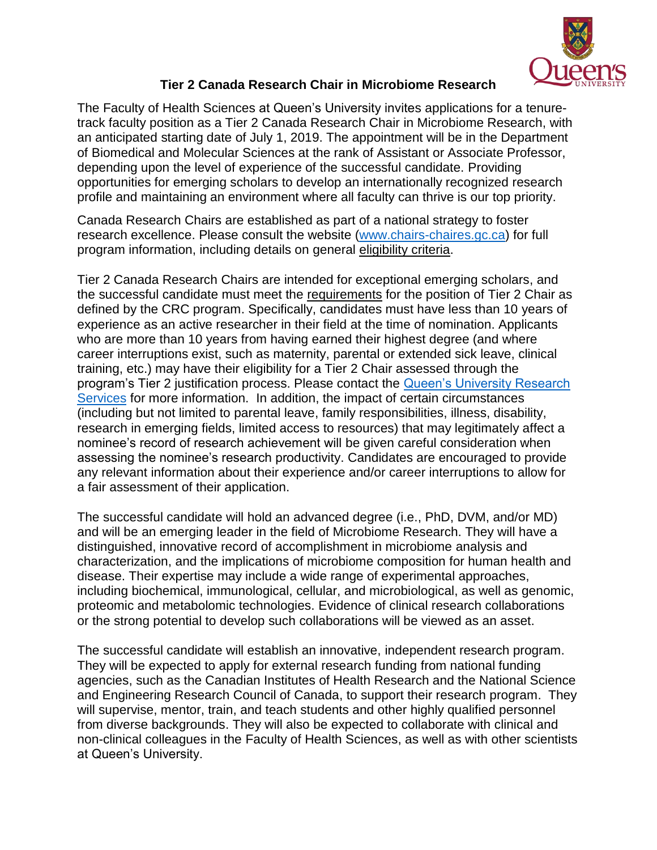

## **Tier 2 Canada Research Chair in Microbiome Research**

The Faculty of Health Sciences at Queen's University invites applications for a tenuretrack faculty position as a Tier 2 Canada Research Chair in Microbiome Research, with an anticipated starting date of July 1, 2019. The appointment will be in the Department of Biomedical and Molecular Sciences at the rank of Assistant or Associate Professor, depending upon the level of experience of the successful candidate. Providing opportunities for emerging scholars to develop an internationally recognized research profile and maintaining an environment where all faculty can thrive is our top priority.

Canada Research Chairs are established as part of a national strategy to foster research excellence. Please consult the website [\(www.chairs-chaires.gc.ca\)](http://www.chairs-chaires.gc.ca/) for full program information, including details on general [eligibility criteria.](http://www.chairs-chaires.gc.ca/program-programme/nomination-mise_en_candidature-eng.aspx#s4)

Tier 2 Canada Research Chairs are intended for exceptional emerging scholars, and the successful candidate must meet the [requirements](http://www.chairs-chaires.gc.ca/program-programme/nomination-mise_en_candidature-eng.aspx#s7) for the position of Tier 2 Chair as defined by the CRC program. Specifically, candidates must have less than 10 years of experience as an active researcher in their field at the time of nomination. Applicants who are more than 10 years from having earned their highest degree (and where career interruptions exist, such as maternity, parental or extended sick leave, clinical training, etc.) may have their eligibility for a Tier 2 Chair assessed through the program's Tier 2 justification process. Please contact the Queen's University Research [Services](https://www.queensu.ca/urs/contact-us) for more information. In addition, the impact of certain circumstances (including but not limited to parental leave, family responsibilities, illness, disability, research in emerging fields, limited access to resources) that may legitimately affect a nominee's record of research achievement will be given careful consideration when assessing the nominee's research productivity. Candidates are encouraged to provide any relevant information about their experience and/or career interruptions to allow for a fair assessment of their application.

The successful candidate will hold an advanced degree (i.e., PhD, DVM, and/or MD) and will be an emerging leader in the field of Microbiome Research. They will have a distinguished, innovative record of accomplishment in microbiome analysis and characterization, and the implications of microbiome composition for human health and disease. Their expertise may include a wide range of experimental approaches, including biochemical, immunological, cellular, and microbiological, as well as genomic, proteomic and metabolomic technologies. Evidence of clinical research collaborations or the strong potential to develop such collaborations will be viewed as an asset.

The successful candidate will establish an innovative, independent research program. They will be expected to apply for external research funding from national funding agencies, such as the Canadian Institutes of Health Research and the National Science and Engineering Research Council of Canada, to support their research program. They will supervise, mentor, train, and teach students and other highly qualified personnel from diverse backgrounds. They will also be expected to collaborate with clinical and non-clinical colleagues in the Faculty of Health Sciences, as well as with other scientists at Queen's University.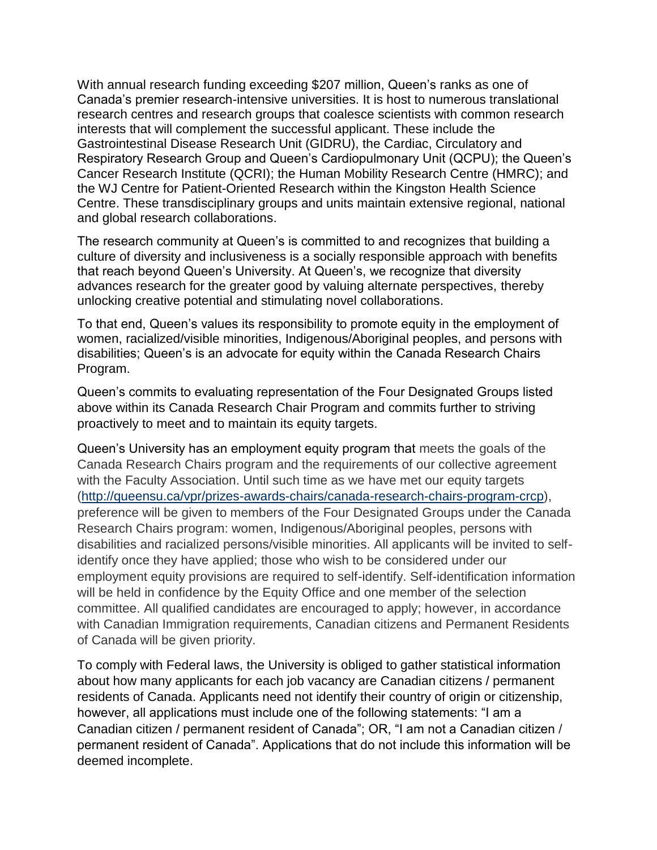With annual research funding exceeding \$207 million, Queen's ranks as one of Canada's premier research-intensive universities. It is host to numerous translational research centres and research groups that coalesce scientists with common research interests that will complement the successful applicant. These include the Gastrointestinal Disease Research Unit (GIDRU), the Cardiac, Circulatory and Respiratory Research Group and Queen's Cardiopulmonary Unit (QCPU); the Queen's Cancer Research Institute (QCRI); the Human Mobility Research Centre (HMRC); and the WJ Centre for Patient-Oriented Research within the Kingston Health Science Centre. These transdisciplinary groups and units maintain extensive regional, national and global research collaborations.

The research community at Queen's is committed to and recognizes that building a culture of diversity and inclusiveness is a socially responsible approach with benefits that reach beyond Queen's University. At Queen's, we recognize that diversity advances research for the greater good by valuing alternate perspectives, thereby unlocking creative potential and stimulating novel collaborations.

To that end, Queen's values its responsibility to promote equity in the employment of women, racialized/visible minorities, Indigenous/Aboriginal peoples, and persons with disabilities; Queen's is an advocate for equity within the Canada Research Chairs Program.

Queen's commits to evaluating representation of the Four Designated Groups listed above within its Canada Research Chair Program and commits further to striving proactively to meet and to maintain its equity targets.

Queen's University has an employment equity program that meets the goals of the Canada Research Chairs program and the requirements of our collective agreement with the Faculty Association. Until such time as we have met our equity targets [\(http://queensu.ca/vpr/prizes-awards-chairs/canada-research-chairs-program-crcp\)](http://queensu.ca/vpr/prizes-awards-chairs/canada-research-chairs-program-crcp), preference will be given to members of the Four Designated Groups under the Canada Research Chairs program: women, Indigenous/Aboriginal peoples, persons with disabilities and racialized persons/visible minorities. All applicants will be invited to selfidentify once they have applied; those who wish to be considered under our employment equity provisions are required to self-identify. Self-identification information will be held in confidence by the Equity Office and one member of the selection committee. All qualified candidates are encouraged to apply; however, in accordance with Canadian Immigration requirements, Canadian citizens and Permanent Residents of Canada will be given priority.

To comply with Federal laws, the University is obliged to gather statistical information about how many applicants for each job vacancy are Canadian citizens / permanent residents of Canada. Applicants need not identify their country of origin or citizenship, however, all applications must include one of the following statements: "I am a Canadian citizen / permanent resident of Canada"; OR, "I am not a Canadian citizen / permanent resident of Canada". Applications that do not include this information will be deemed incomplete.